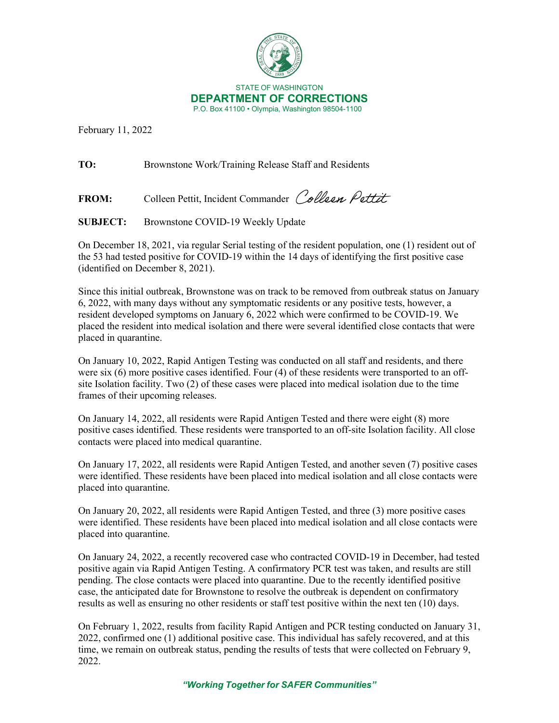

February 11, 2022

**TO:** Brownstone Work/Training Release Staff and Residents

FROM: Colleen Pettit, Incident Commander Colleen Pettit

**SUBJECT:** Brownstone COVID-19 Weekly Update

On December 18, 2021, via regular Serial testing of the resident population, one (1) resident out of the 53 had tested positive for COVID-19 within the 14 days of identifying the first positive case (identified on December 8, 2021).

Since this initial outbreak, Brownstone was on track to be removed from outbreak status on January 6, 2022, with many days without any symptomatic residents or any positive tests, however, a resident developed symptoms on January 6, 2022 which were confirmed to be COVID-19. We placed the resident into medical isolation and there were several identified close contacts that were placed in quarantine.

On January 10, 2022, Rapid Antigen Testing was conducted on all staff and residents, and there were six (6) more positive cases identified. Four (4) of these residents were transported to an offsite Isolation facility. Two (2) of these cases were placed into medical isolation due to the time frames of their upcoming releases.

On January 14, 2022, all residents were Rapid Antigen Tested and there were eight (8) more positive cases identified. These residents were transported to an off-site Isolation facility. All close contacts were placed into medical quarantine.

On January 17, 2022, all residents were Rapid Antigen Tested, and another seven (7) positive cases were identified. These residents have been placed into medical isolation and all close contacts were placed into quarantine.

On January 20, 2022, all residents were Rapid Antigen Tested, and three (3) more positive cases were identified. These residents have been placed into medical isolation and all close contacts were placed into quarantine.

On January 24, 2022, a recently recovered case who contracted COVID-19 in December, had tested positive again via Rapid Antigen Testing. A confirmatory PCR test was taken, and results are still pending. The close contacts were placed into quarantine. Due to the recently identified positive case, the anticipated date for Brownstone to resolve the outbreak is dependent on confirmatory results as well as ensuring no other residents or staff test positive within the next ten (10) days.

On February 1, 2022, results from facility Rapid Antigen and PCR testing conducted on January 31, 2022, confirmed one (1) additional positive case. This individual has safely recovered, and at this time, we remain on outbreak status, pending the results of tests that were collected on February 9, 2022.

*"Working Together for SAFER Communities"*